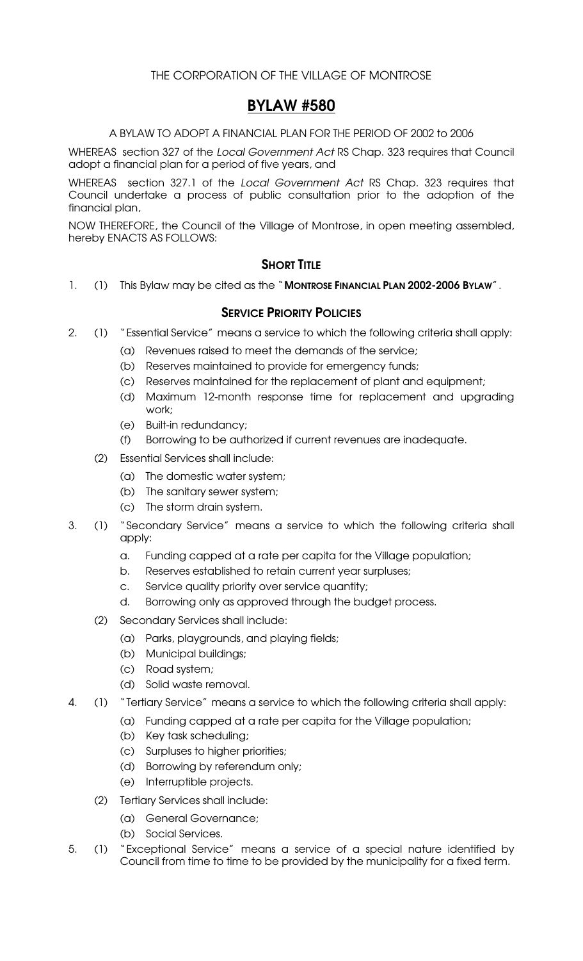### BYLAW #580

A BYLAW TO ADOPT A FINANCIAL PLAN FOR THE PERIOD OF 2002 to 2006

WHEREAS section 327 of the *Local Government Act* RS Chap. 323 requires that Council adopt a financial plan for a period of five years, and

WHEREAS section 327.1 of the *Local Government Act* RS Chap. 323 requires that Council undertake a process of public consultation prior to the adoption of the financial plan,

NOW THEREFORE, the Council of the Village of Montrose, in open meeting assembled, hereby ENACTS AS FOLLOWS:

### **SHORT TITLE**

1. (1) This Bylaw may be cited as the "MONTROSE FINANCIAL PLAN 2002-2006 BYLAW".

### **SERVICE PRIORITY POLICIES**

- 2. (1) "Essential Service" means a service to which the following criteria shall apply:
	- (a) Revenues raised to meet the demands of the service;
	- (b) Reserves maintained to provide for emergency funds;
	- (c) Reserves maintained for the replacement of plant and equipment;
	- (d) Maximum 12-month response time for replacement and upgrading work;
	- (e) Built-in redundancy;
	- (f) Borrowing to be authorized if current revenues are inadequate.
	- (2) Essential Services shall include:
		- (a) The domestic water system;
		- (b) The sanitary sewer system;
		- (c) The storm drain system.
- 3. (1) "Secondary Service" means a service to which the following criteria shall apply:
	- a. Funding capped at a rate per capita for the Village population;
	- b. Reserves established to retain current year surpluses;
	- c. Service quality priority over service quantity;
	- d. Borrowing only as approved through the budget process.
	- (2) Secondary Services shall include:
		- (a) Parks, playgrounds, and playing fields;
		- (b) Municipal buildings;
		- (c) Road system;
		- (d) Solid waste removal.
- 4. (1) "Tertiary Service" means a service to which the following criteria shall apply:
	- (a) Funding capped at a rate per capita for the Village population;
	- (b) Key task scheduling;
	- (c) Surpluses to higher priorities;
	- (d) Borrowing by referendum only;
	- (e) Interruptible projects.
	- (2) Tertiary Services shall include:
		- (a) General Governance;
		- (b) Social Services.
- 5. (1) "Exceptional Service" means a service of a special nature identified by Council from time to time to be provided by the municipality for a fixed term.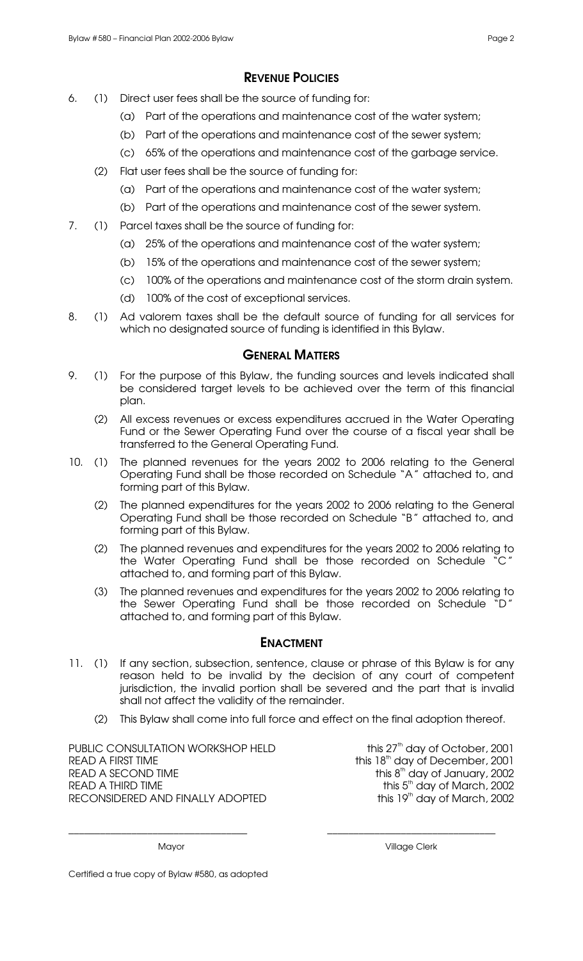### REVENUE POLICIES

- 6. (1) Direct user fees shall be the source of funding for:
	- (a) Part of the operations and maintenance cost of the water system;
	- (b) Part of the operations and maintenance cost of the sewer system;
	- (c) 65% of the operations and maintenance cost of the garbage service.
	- (2) Flat user fees shall be the source of funding for:
		- (a) Part of the operations and maintenance cost of the water system;
		- (b) Part of the operations and maintenance cost of the sewer system.
- 7. (1) Parcel taxes shall be the source of funding for:
	- (a) 25% of the operations and maintenance cost of the water system;
	- (b) 15% of the operations and maintenance cost of the sewer system;
	- (c) 100% of the operations and maintenance cost of the storm drain system.
	- (d) 100% of the cost of exceptional services.
- 8. (1) Ad valorem taxes shall be the default source of funding for all services for which no designated source of funding is identified in this Bylaw.

#### **GENERAL MATTERS**

- 9. (1) For the purpose of this Bylaw, the funding sources and levels indicated shall be considered target levels to be achieved over the term of this financial plan.
	- (2) All excess revenues or excess expenditures accrued in the Water Operating Fund or the Sewer Operating Fund over the course of a fiscal year shall be transferred to the General Operating Fund.
- 10. (1) The planned revenues for the years 2002 to 2006 relating to the General Operating Fund shall be those recorded on Schedule "A" attached to, and forming part of this Bylaw.
	- (2) The planned expenditures for the years 2002 to 2006 relating to the General Operating Fund shall be those recorded on Schedule "B" attached to, and forming part of this Bylaw.
	- (2) The planned revenues and expenditures for the years 2002 to 2006 relating to the Water Operating Fund shall be those recorded on Schedule "C" attached to, and forming part of this Bylaw.
	- (3) The planned revenues and expenditures for the years 2002 to 2006 relating to the Sewer Operating Fund shall be those recorded on Schedule "D" attached to, and forming part of this Bylaw.

#### ENACTMENT

- 11. (1) If any section, subsection, sentence, clause or phrase of this Bylaw is for any reason held to be invalid by the decision of any court of competent jurisdiction, the invalid portion shall be severed and the part that is invalid shall not affect the validity of the remainder.
	- (2) This Bylaw shall come into full force and effect on the final adoption thereof.

\_\_\_\_\_\_\_\_\_\_\_\_\_\_\_\_\_\_\_\_\_\_\_\_\_\_\_\_\_\_\_\_\_\_ \_\_\_\_\_\_\_\_\_\_\_\_\_\_\_\_\_\_\_\_\_\_\_\_\_\_\_\_\_\_\_\_

PUBLIC CONSULTATION WORKSHOP HELD READ A FIRST TIME READ A SECOND TIME READ A THIRD TIME RECONSIDERED AND FINALLY ADOPTED

this 27<sup>th</sup> day of October, 2001 this 18<sup>th</sup> day of December, 2001  $^{\text{\tiny{th}}}$  day of January, 2002 th day of March, 2002 this  $19<sup>th</sup>$  day of March, 2002

Mayor **Mayor** Village Clerk

Certified a true copy of Bylaw #580, as adopted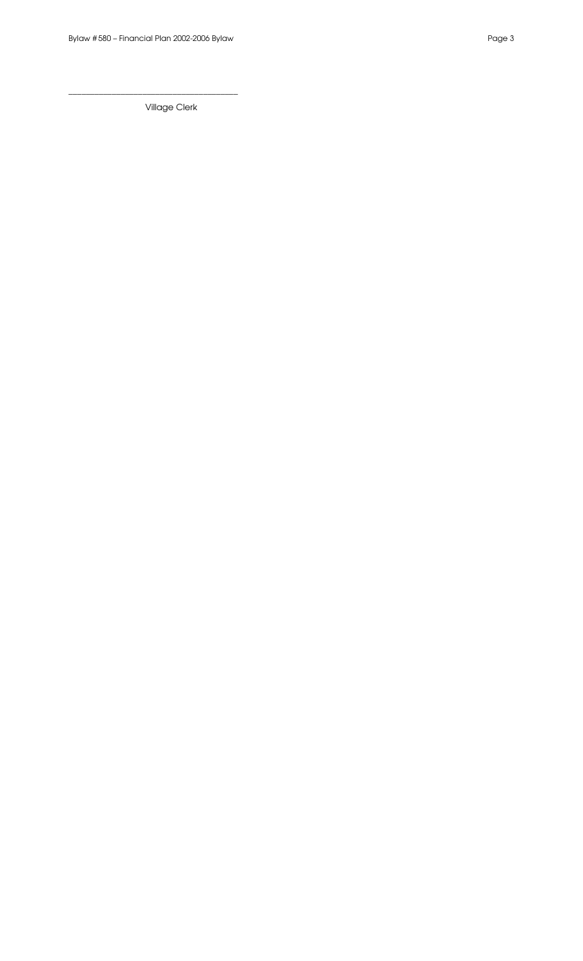\_\_\_\_\_\_\_\_\_\_\_\_\_\_\_\_\_\_\_\_\_\_\_\_\_\_\_\_\_\_\_\_\_\_\_\_\_\_\_

Village Clerk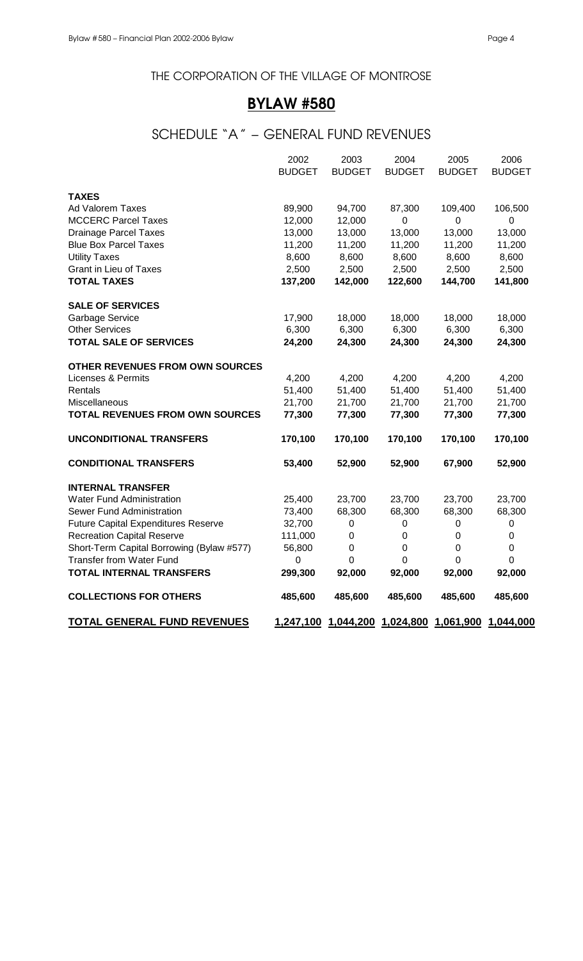# BYLAW #580

# SCHEDULE "A" – GENERAL FUND REVENUES

|                                            | 2002<br><b>BUDGET</b> | 2003<br><b>BUDGET</b>                   | 2004<br><b>BUDGET</b> | 2005<br><b>BUDGET</b> | 2006<br><b>BUDGET</b> |
|--------------------------------------------|-----------------------|-----------------------------------------|-----------------------|-----------------------|-----------------------|
|                                            |                       |                                         |                       |                       |                       |
| <b>TAXES</b>                               |                       |                                         |                       |                       |                       |
| Ad Valorem Taxes                           | 89,900                | 94,700                                  | 87,300                | 109,400               | 106,500               |
| <b>MCCERC Parcel Taxes</b>                 | 12,000                | 12,000                                  | $\mathbf 0$           | 0                     | $\mathbf 0$           |
| <b>Drainage Parcel Taxes</b>               | 13,000                | 13,000                                  | 13,000                | 13,000                | 13,000                |
| <b>Blue Box Parcel Taxes</b>               | 11,200                | 11,200                                  | 11,200                | 11,200                | 11,200                |
| <b>Utility Taxes</b>                       | 8,600                 | 8,600                                   | 8,600                 | 8,600                 | 8,600                 |
| <b>Grant in Lieu of Taxes</b>              | 2,500                 | 2,500                                   | 2,500                 | 2,500                 | 2,500                 |
| <b>TOTAL TAXES</b>                         | 137,200               | 142,000                                 | 122,600               | 144,700               | 141,800               |
| <b>SALE OF SERVICES</b>                    |                       |                                         |                       |                       |                       |
| <b>Garbage Service</b>                     | 17,900                | 18,000                                  | 18,000                | 18,000                | 18,000                |
| <b>Other Services</b>                      | 6,300                 | 6,300                                   | 6,300                 | 6,300                 | 6,300                 |
| <b>TOTAL SALE OF SERVICES</b>              | 24,200                | 24,300                                  | 24,300                | 24,300                | 24,300                |
| <b>OTHER REVENUES FROM OWN SOURCES</b>     |                       |                                         |                       |                       |                       |
| <b>Licenses &amp; Permits</b>              | 4,200                 | 4,200                                   | 4,200                 | 4,200                 | 4,200                 |
| Rentals                                    | 51,400                | 51,400                                  | 51,400                | 51,400                | 51,400                |
| Miscellaneous                              | 21,700                | 21,700                                  | 21,700                | 21,700                | 21,700                |
| <b>TOTAL REVENUES FROM OWN SOURCES</b>     | 77,300                | 77,300                                  | 77,300                | 77,300                | 77,300                |
| <b>UNCONDITIONAL TRANSFERS</b>             | 170,100               | 170,100                                 | 170,100               | 170,100               | 170,100               |
| <b>CONDITIONAL TRANSFERS</b>               | 53,400                | 52,900                                  | 52,900                | 67,900                | 52,900                |
| <b>INTERNAL TRANSFER</b>                   |                       |                                         |                       |                       |                       |
| <b>Water Fund Administration</b>           | 25,400                | 23,700                                  | 23,700                | 23,700                | 23,700                |
| Sewer Fund Administration                  | 73,400                | 68,300                                  | 68,300                | 68,300                | 68,300                |
| <b>Future Capital Expenditures Reserve</b> | 32,700                | $\mathbf 0$                             | $\mathbf 0$           | 0                     | 0                     |
| <b>Recreation Capital Reserve</b>          | 111,000               | $\mathbf 0$                             | 0                     | 0                     | 0                     |
| Short-Term Capital Borrowing (Bylaw #577)  | 56,800                | $\mathbf 0$                             | $\mathbf 0$           | 0                     | 0                     |
| <b>Transfer from Water Fund</b>            | 0                     | $\mathbf 0$                             | $\mathbf 0$           | 0                     | 0                     |
| <b>TOTAL INTERNAL TRANSFERS</b>            | 299,300               | 92,000                                  | 92,000                | 92,000                | 92,000                |
| <b>COLLECTIONS FOR OTHERS</b>              | 485,600               | 485,600                                 | 485,600               | 485,600               | 485,600               |
| <b>TOTAL GENERAL FUND REVENUES</b>         | 1,247,100             | 1,044,200 1,024,800 1,061,900 1,044,000 |                       |                       |                       |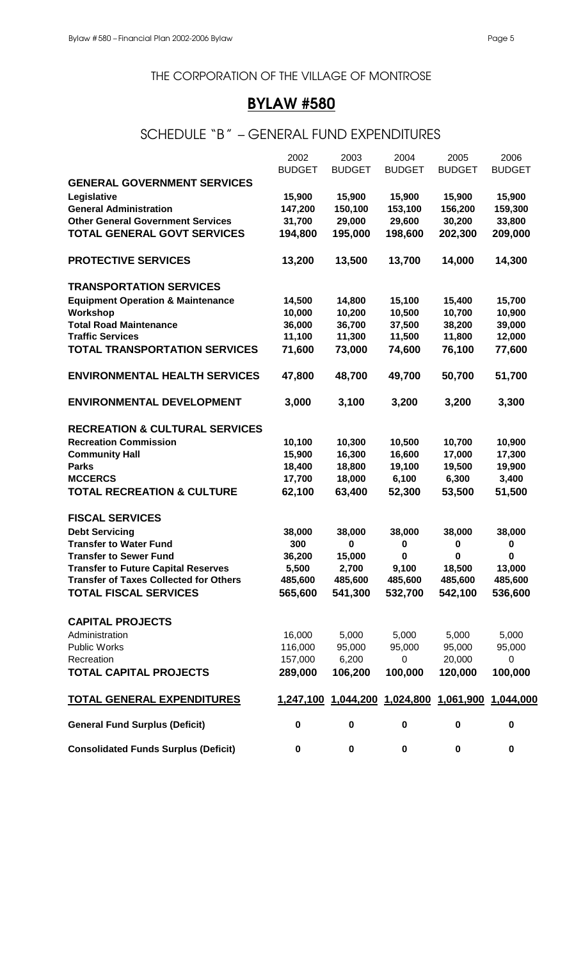# BYLAW #580

# SCHEDULE "B" – GENERAL FUND EXPENDITURES

|                                               | 2002          | 2003          | 2004                                              | 2005          | 2006          |
|-----------------------------------------------|---------------|---------------|---------------------------------------------------|---------------|---------------|
|                                               | <b>BUDGET</b> | <b>BUDGET</b> | <b>BUDGET</b>                                     | <b>BUDGET</b> | <b>BUDGET</b> |
| <b>GENERAL GOVERNMENT SERVICES</b>            |               |               |                                                   |               |               |
| Legislative                                   | 15,900        | 15,900        | 15,900                                            | 15,900        | 15,900        |
| <b>General Administration</b>                 | 147,200       | 150,100       | 153,100                                           | 156,200       | 159,300       |
| <b>Other General Government Services</b>      | 31,700        | 29,000        | 29,600                                            | 30,200        | 33,800        |
| <b>TOTAL GENERAL GOVT SERVICES</b>            | 194,800       | 195,000       | 198,600                                           | 202,300       | 209,000       |
|                                               |               |               |                                                   |               |               |
| <b>PROTECTIVE SERVICES</b>                    | 13,200        | 13,500        | 13,700                                            | 14,000        | 14,300        |
| <b>TRANSPORTATION SERVICES</b>                |               |               |                                                   |               |               |
| <b>Equipment Operation &amp; Maintenance</b>  | 14,500        | 14,800        | 15,100                                            | 15,400        | 15,700        |
| Workshop                                      | 10,000        | 10,200        | 10,500                                            | 10,700        | 10,900        |
| <b>Total Road Maintenance</b>                 | 36,000        | 36,700        | 37,500                                            | 38,200        | 39,000        |
| <b>Traffic Services</b>                       | 11,100        | 11,300        | 11,500                                            | 11,800        | 12,000        |
| <b>TOTAL TRANSPORTATION SERVICES</b>          | 71,600        | 73,000        | 74,600                                            | 76,100        | 77,600        |
| <b>ENVIRONMENTAL HEALTH SERVICES</b>          | 47,800        | 48,700        | 49,700                                            | 50,700        | 51,700        |
| <b>ENVIRONMENTAL DEVELOPMENT</b>              | 3,000         | 3,100         | 3,200                                             | 3,200         | 3,300         |
| <b>RECREATION &amp; CULTURAL SERVICES</b>     |               |               |                                                   |               |               |
| <b>Recreation Commission</b>                  | 10,100        | 10,300        | 10,500                                            | 10,700        | 10,900        |
| <b>Community Hall</b>                         | 15,900        | 16,300        | 16,600                                            | 17,000        | 17,300        |
| <b>Parks</b>                                  | 18,400        | 18,800        | 19,100                                            | 19,500        | 19,900        |
| <b>MCCERCS</b>                                | 17,700        | 18,000        | 6,100                                             | 6,300         | 3,400         |
| <b>TOTAL RECREATION &amp; CULTURE</b>         | 62,100        | 63,400        | 52,300                                            | 53,500        | 51,500        |
| <b>FISCAL SERVICES</b>                        |               |               |                                                   |               |               |
| <b>Debt Servicing</b>                         | 38,000        | 38,000        | 38,000                                            | 38,000        | 38,000        |
| <b>Transfer to Water Fund</b>                 | 300           | 0             | $\bf{0}$                                          | $\bf{0}$      | $\pmb{0}$     |
| <b>Transfer to Sewer Fund</b>                 | 36,200        | 15,000        | 0                                                 | 0             | 0             |
| <b>Transfer to Future Capital Reserves</b>    | 5,500         | 2,700         | 9,100                                             | 18,500        | 13,000        |
| <b>Transfer of Taxes Collected for Others</b> | 485,600       | 485,600       | 485,600                                           | 485.600       | 485,600       |
| <b>TOTAL FISCAL SERVICES</b>                  |               |               | 565,600 541,300 532,700 542,100                   |               | 536,600       |
| <b>CAPITAL PROJECTS</b>                       |               |               |                                                   |               |               |
| Administration                                | 16,000        | 5,000         | 5,000                                             | 5,000         | 5,000         |
| <b>Public Works</b>                           | 116,000       | 95,000        | 95,000                                            | 95,000        | 95,000        |
| Recreation                                    | 157,000 6,200 |               | 0                                                 | 20,000        | $\mathbf 0$   |
| <b>TOTAL CAPITAL PROJECTS</b>                 | 289,000       | 106,200       | 100,000                                           | 120,000       | 100,000       |
| <b>TOTAL GENERAL EXPENDITURES</b>             |               |               | 1,247,100 1,044,200 1,024,800 1,061,900 1,044,000 |               |               |
| <b>General Fund Surplus (Deficit)</b>         | $\mathbf 0$   | $\mathbf 0$   | $\mathbf 0$                                       | $\pmb{0}$     | 0             |
| <b>Consolidated Funds Surplus (Deficit)</b>   | 0             | 0             | $\mathbf 0$                                       | 0             | $\pmb{0}$     |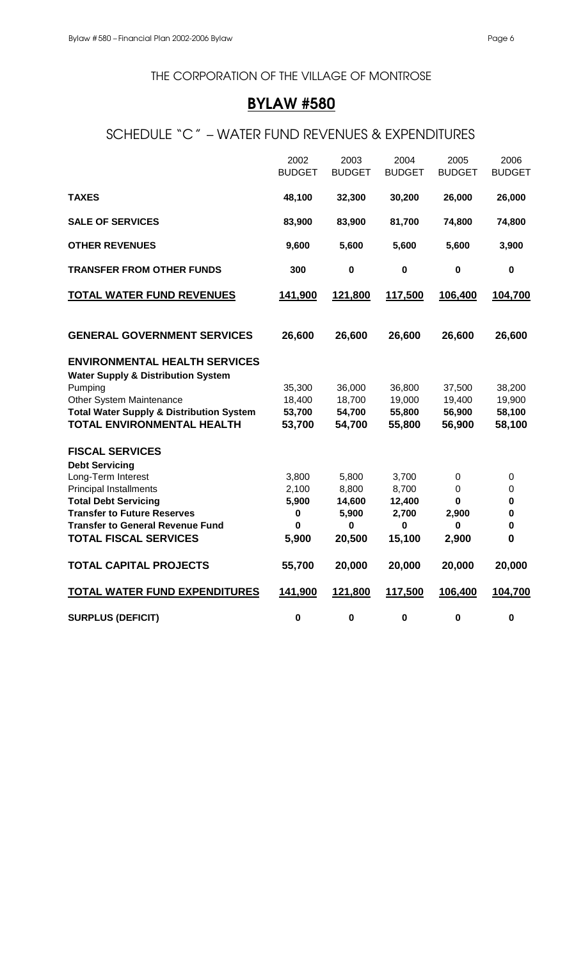# BYLAW #580

# SCHEDULE "C" – WATER FUND REVENUES & EXPENDITURES

|                                                          | 2002<br><b>BUDGET</b> | 2003<br><b>BUDGET</b> | 2004<br><b>BUDGET</b> | 2005<br><b>BUDGET</b> | 2006<br><b>BUDGET</b> |
|----------------------------------------------------------|-----------------------|-----------------------|-----------------------|-----------------------|-----------------------|
| <b>TAXES</b>                                             | 48,100                | 32,300                | 30,200                | 26,000                | 26,000                |
| <b>SALE OF SERVICES</b>                                  | 83,900                | 83,900                | 81,700                | 74,800                | 74,800                |
| <b>OTHER REVENUES</b>                                    | 9,600                 | 5,600                 | 5,600                 | 5,600                 | 3,900                 |
| <b>TRANSFER FROM OTHER FUNDS</b>                         | 300                   | $\bf{0}$              | $\bf{0}$              | $\mathbf 0$           | $\pmb{0}$             |
| <b>TOTAL WATER FUND REVENUES</b>                         | 141,900               | 121,800               | 117,500               | 106,400               | 104,700               |
| <b>GENERAL GOVERNMENT SERVICES</b>                       | 26,600                | 26,600                | 26,600                | 26,600                | 26,600                |
| <b>ENVIRONMENTAL HEALTH SERVICES</b>                     |                       |                       |                       |                       |                       |
| <b>Water Supply &amp; Distribution System</b><br>Pumping | 35,300                | 36,000                | 36,800                | 37,500                | 38,200                |
| Other System Maintenance                                 | 18,400                | 18,700                | 19,000                | 19,400                | 19,900                |
| <b>Total Water Supply &amp; Distribution System</b>      | 53,700                | 54,700                | 55,800                | 56,900                | 58,100                |
| <b>TOTAL ENVIRONMENTAL HEALTH</b>                        | 53,700                | 54,700                | 55,800                | 56,900                | 58,100                |
| <b>FISCAL SERVICES</b>                                   |                       |                       |                       |                       |                       |
| <b>Debt Servicing</b>                                    |                       |                       |                       |                       |                       |
| Long-Term Interest<br><b>Principal Installments</b>      | 3,800<br>2,100        | 5,800<br>8,800        | 3,700<br>8,700        | 0<br>$\mathbf 0$      | 0<br>0                |
| <b>Total Debt Servicing</b>                              | 5,900                 | 14,600                | 12,400                | 0                     | 0                     |
| <b>Transfer to Future Reserves</b>                       | $\pmb{0}$             | 5,900                 | 2,700                 | 2,900                 | 0                     |
| <b>Transfer to General Revenue Fund</b>                  | 0                     | $\bf{0}$              | $\mathbf 0$           | $\bf{0}$              | 0                     |
| <b>TOTAL FISCAL SERVICES</b>                             | 5,900                 | 20,500                | 15,100                | 2,900                 | 0                     |
| <b>TOTAL CAPITAL PROJECTS</b>                            | 55,700                | 20,000                | 20,000                | 20,000                | 20,000                |
| <b>TOTAL WATER FUND EXPENDITURES</b>                     | 141,900               | 121,800               | 117,500               | 106,400               | 104,700               |
| <b>SURPLUS (DEFICIT)</b>                                 | $\pmb{0}$             | $\bf{0}$              | $\bf{0}$              | $\bf{0}$              | 0                     |